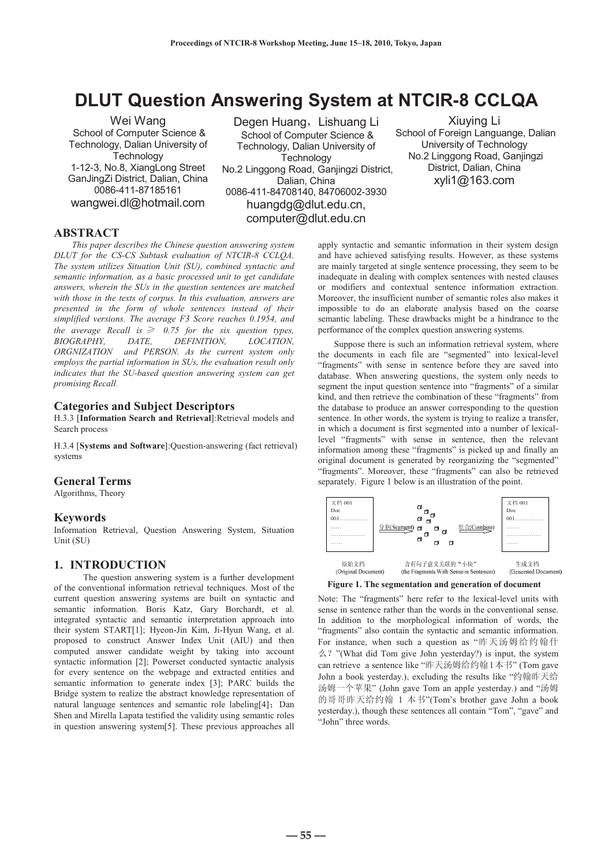Wei Wang School of Computer Science & Technology, Dalian University of **Technology** 1-12-3, No.8, XiangLong Street GanJingZi District, Dalian, China 0086-411-87185161 wangwei.dl@hotmail.com

**DLUT Question Answering System at NTCIR-8 CCLQA**  Degen HuangˈLishuang Li School of Computer Science & Technology, Dalian University of **Technology** No.2 Linggong Road, Ganjingzi District, Dalian, China 0086-411-84708140, 84706002-3930 huangdg@dlut.edu.cn, computer@dlut.edu.cn

Xiuying Li School of Foreign Languange, Dalian University of Technology No.2 Linggong Road, Ganjingzi District, Dalian, China xyli1@163.com

## **ABSTRACT**

*This paper describes the Chinese question answering system DLUT for the CS-CS Subtask evaluation of NTCIR-8 CCLQA. The system utilizes Situation Unit (SU), combined syntactic and semantic information, as a basic processed unit to get candidate answers, wherein the SUs in the question sentences are matched with those in the texts of corpus. In this evaluation, answers are presented in the form of whole sentences instead of their simplified versions. The average F3 Score reaches 0.1954, and the average Recall is*  $\geq 0.75$  *for the six question types, BIOGRAPHY, DATE, DEFINITION, LOCATION, ORGNIZATION and PERSON. As the current system only employs the partial information in SUs, the evaluation result only indicates that the SU-based question answering system can get promising Recall.*

## **Categories and Subject Descriptors**

H.3.3 [**Information Search and Retrieval**]:Retrieval models and Search process

H.3.4 [**Systems and Software**]:Question-answering (fact retrieval) systems

## **General Terms**

Algorithms, Theory

#### **Keywords**

Information Retrieval, Question Answering System, Situation Unit (SU)

## **1. INTRODUCTION**

The question answering system is a further development of the conventional information retrieval techniques. Most of the current question answering systems are built on syntactic and semantic information. Boris Katz, Gary Borchardt, et al. integrated syntactic and semantic interpretation approach into their system START[1]; Hyeon-Jin Kim, Ji-Hyun Wang, et al. proposed to construct Answer Index Unit (AIU) and then computed answer candidate weight by taking into account syntactic information [2]; Powerset conducted syntactic analysis for every sentence on the webpage and extracted entities and semantic information to generate index [3]; PARC builds the Bridge system to realize the abstract knowledge representation of natural language sentences and semantic role labeling[4]. Dan Shen and Mirella Lapata testified the validity using semantic roles in question answering system[5]. These previous approaches all

apply syntactic and semantic information in their system design and have achieved satisfying results. However, as these systems are mainly targeted at single sentence processing, they seem to be inadequate in dealing with complex sentences with nested clauses or modifiers and contextual sentence information extraction. Moreover, the insufficient number of semantic roles also makes it impossible to do an elaborate analysis based on the coarse semantic labeling. These drawbacks might be a hindrance to the performance of the complex question answering systems.

 Suppose there is such an information retrieval system, where the documents in each file are "segmented" into lexical-level "fragments" with sense in sentence before they are saved into database. When answering questions, the system only needs to segment the input question sentence into "fragments" of a similar kind, and then retrieve the combination of these "fragments" from the database to produce an answer corresponding to the question sentence. In other words, the system is trying to realize a transfer, in which a document is first segmented into a number of lexicallevel "fragments" with sense in sentence, then the relevant information among these "fragments" is picked up and finally an original document is generated by reorganizing the "segmented" "fragments". Moreover, these "fragments" can also be retrieved separately. Figure 1 below is an illustration of the point.



**Figure 1. The segmentation and generation of document** 

Note: The "fragments" here refer to the lexical-level units with sense in sentence rather than the words in the conventional sense. In addition to the morphological information of words, the "fragments" also contain the syntactic and semantic information. For instance, when such a question as "昨天汤姆给约翰什  $\angle$  ? "(What did Tom give John yesterday?) is input, the system can retrieve a sentence like "昨天汤姆给约翰1本书" (Tom gave John a book yesterday.), excluding the results like "约翰昨天给 汤姆一个苹果" (John gave Tom an apple yesterday.) and "汤姆 的哥哥昨天给约翰 1 本书"(Tom's brother gave John a book yesterday.), though these sentences all contain "Tom", "gave" and "John" three words.

**― 55 ―**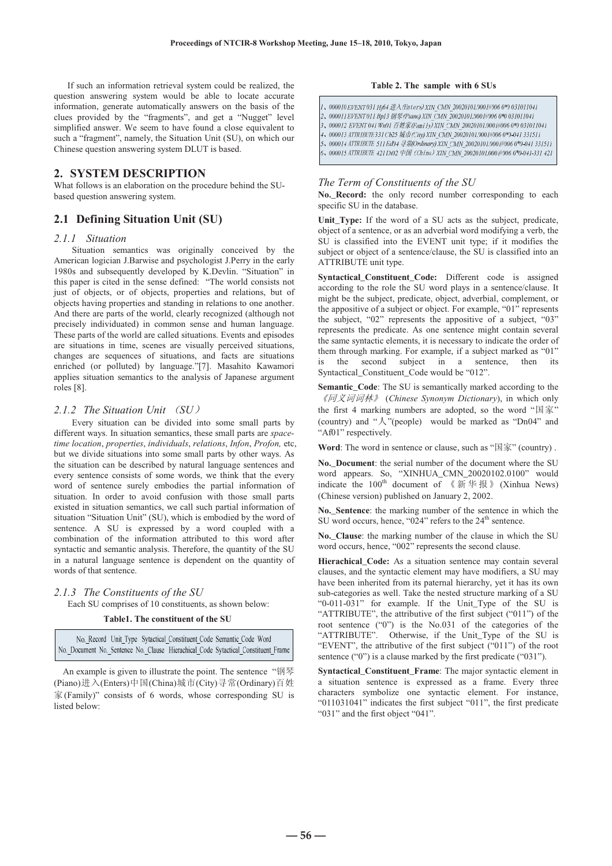If such an information retrieval system could be realized, the question answering system would be able to locate accurate information, generate automatically answers on the basis of the clues provided by the "fragments", and get a "Nugget" level simplified answer. We seem to have found a close equivalent to such a "fragment", namely, the Situation Unit (SU), on which our Chinese question answering system DLUT is based.

# **2. SYSTEM DESCRIPTION**

What follows is an elaboration on the procedure behind the SUbased question answering system.

# **2.1 Defining Situation Unit (SU)**

#### *2.1.1 Situation*

Situation semantics was originally conceived by the American logician J.Barwise and psychologist J.Perry in the early 1980s and subsequently developed by K.Devlin. "Situation" in this paper is cited in the sense defined: "The world consists not just of objects, or of objects, properties and relations, but of objects having properties and standing in relations to one another. And there are parts of the world, clearly recognized (although not precisely individuated) in common sense and human language. These parts of the world are called situations. Events and episodes are situations in time, scenes are visually perceived situations, changes are sequences of situations, and facts are situations enriched (or polluted) by language."[7]. Masahito Kawamori applies situation semantics to the analysis of Japanese argument roles [8].

## 2.1.2 The Situation Unit  $(SU)$

Every situation can be divided into some small parts by different ways. In situation semantics, these small parts are *spacetime location*, *properties*, *individuals*, *relations*, *Infon*, *Profon,* etc, but we divide situations into some small parts by other ways. As the situation can be described by natural language sentences and every sentence consists of some words, we think that the every word of sentence surely embodies the partial information of situation. In order to avoid confusion with those small parts existed in situation semantics, we call such partial information of situation "Situation Unit" (SU), which is embodied by the word of sentence. A SU is expressed by a word coupled with a combination of the information attributed to this word after syntactic and semantic analysis. Therefore, the quantity of the SU in a natural language sentence is dependent on the quantity of words of that sentence.

## *2.1.3 The Constituents of the SU*

Each SU comprises of 10 constituents, as shown below:

## **Table1. The constituent of the SU**

No. Record Unit Type Sytactical Constituent Code Semantic Code Word No Document No. Sentence No. Clause Hierachical Code Sytactical Constituent Frame

An example is given to illustrate the point. The sentence "钢琴 (Piano)进入(Enters)中国(China)城市(City)寻常(Ordinary)百姓 ᆊ(Family)" consists of 6 words, whose corresponding SU is listed below:

### **Table 2. The sample with 6 SUs**

 $1 \mbox{,} \hspace{1em} 000010 \mbox{ EVENT 031 Hj64} \# \lambda \mbox{ (Enters) XIN\_CMN\_20020101.0001\#006 0\% 031011041}$ 4、000013 ATTRIBUTE 331 Cb25 城市 (City) XIN\_CMN\_20020101.0001#006 0\*0-041 331511 5、000014 ATTRIBUTE 511 Ed04 寻常(Ordinary) XIN CMN\_20020101.0001#006 0\*0-041 331511 6, 000015 ATTRIBUTE 421 Di02 中国 (China) XIN\_CMN\_20020101.0001#006 0\*0-041-331 421

#### *The Term of Constituents of the SU*

**No.\_Record:** the only record number corresponding to each specific SU in the database.

Unit Type: If the word of a SU acts as the subject, predicate, object of a sentence, or as an adverbial word modifying a verb, the SU is classified into the EVENT unit type; if it modifies the subject or object of a sentence/clause, the SU is classified into an ATTRIBUTE unit type.

**Syntactical\_Constituent\_Code:** Different code is assigned according to the role the SU word plays in a sentence/clause. It might be the subject, predicate, object, adverbial, complement, or the appositive of a subject or object. For example, "01" represents the subject, "02" represents the appositive of a subject, "03" represents the predicate. As one sentence might contain several the same syntactic elements, it is necessary to indicate the order of them through marking. For example, if a subject marked as "01" is the second subject in a sentence, then its Syntactical\_Constituent\_Code would be "012".

**Semantic** Code: The SU is semantically marked according to the ljৠН䆡䆡ᵫNJ (*Chinese Synonym Dictionary*), in which only the first 4 marking numbers are adopted, so the word " $\mathbb{R}$  " (country) and " $\lambda$ "(people) would be marked as "Dn04" and "Af01" respectively.

Word: The word in sentence or clause, such as "国家" (country).

**No.\_Document**: the serial number of the document where the SU word appears. So, "XINHUA\_CMN\_20020102.0100" would indicate the  $100^{th}$  document of 《新华报》(Xinhua News) (Chinese version) published on January 2, 2002.

**No.\_Sentence**: the marking number of the sentence in which the SU word occurs, hence, "024" refers to the 24<sup>th</sup> sentence.

**No.\_Clause**: the marking number of the clause in which the SU word occurs, hence, "002" represents the second clause.

Hierachical Code: As a situation sentence may contain several clauses, and the syntactic element may have modifiers, a SU may have been inherited from its paternal hierarchy, yet it has its own sub-categories as well. Take the nested structure marking of a SU "0-011-031" for example. If the Unit\_Type of the SU is "ATTRIBUTE", the attributive of the first subject ("011") of the root sentence ("0") is the No.031 of the categories of the "ATTRIBUTE". Otherwise, if the Unit\_Type of the SU is "EVENT", the attributive of the first subject ("011") of the root sentence ("0") is a clause marked by the first predicate ("031").

**Syntactical Constituent Frame:** The major syntactic element in a situation sentence is expressed as a frame. Every three characters symbolize one syntactic element. For instance, "011031041" indicates the first subject "011", the first predicate "031" and the first object "041".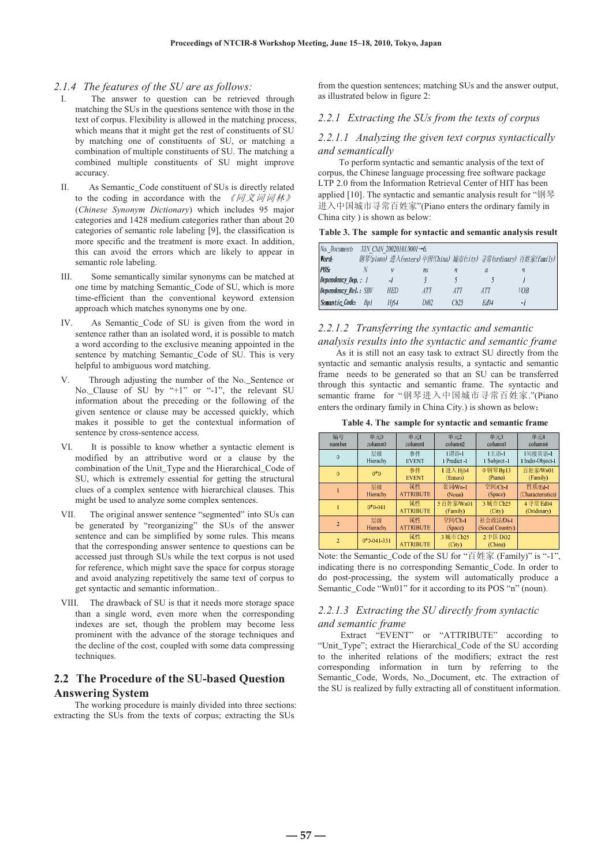## *2.1.4 The features of the SU are as follows:*

- I. The answer to question can be retrieved through matching the SUs in the questions sentence with those in the text of corpus. Flexibility is allowed in the matching process, which means that it might get the rest of constituents of SU by matching one of constituents of SU, or matching a combination of multiple constituents of SU. The matching a combined multiple constituents of SU might improve accuracy.
- II. As Semantic\_Code constituent of SUs is directly related to the coding in accordance with the  $\ell \sqrt{N} \mathcal{A} \vec{v}$ (*Chinese Synonym Dictionary*) which includes 95 major categories and 1428 medium categories rather than about 20 categories of semantic role labeling [9], the classification is more specific and the treatment is more exact. In addition, this can avoid the errors which are likely to appear in semantic role labeling.
- III. Some semantically similar synonyms can be matched at one time by matching Semantic\_Code of SU, which is more time-efficient than the conventional keyword extension approach which matches synonyms one by one.
- IV. As Semantic Code of SU is given from the word in sentence rather than an isolated word, it is possible to match a word according to the exclusive meaning appointed in the sentence by matching Semantic\_Code of SU. This is very helpful to ambiguous word matching.
- V. Through adjusting the number of the No.\_Sentence or No. Clause of SU by "+1" or "-1", the relevant SU information about the preceding or the following of the given sentence or clause may be accessed quickly, which makes it possible to get the contextual information of sentence by cross-sentence access.
- VI. It is possible to know whether a syntactic element is modified by an attributive word or a clause by the combination of the Unit\_Type and the Hierarchical\_Code of SU, which is extremely essential for getting the structural clues of a complex sentence with hierarchical clauses. This might be used to analyze some complex sentences.
- VII. The original answer sentence "segmented" into SUs can be generated by "reorganizing" the SUs of the answer sentence and can be simplified by some rules. This means that the corresponding answer sentence to questions can be accessed just through SUs while the text corpus is not used for reference, which might save the space for corpus storage and avoid analyzing repetitively the same text of corpus to get syntactic and semantic information..
- VIII. The drawback of SU is that it needs more storage space than a single word, even more when the corresponding indexes are set, though the problem may become less prominent with the advance of the storage techniques and the decline of the cost, coupled with some data compressing techniques.

# **2.2 The Procedure of the SU-based Question Answering System**

The working procedure is mainly divided into three sections: extracting the SUs from the texts of corpus; extracting the SUs

from the question sentences; matching SUs and the answer output, as illustrated below in figure 2:

# *2.2.1 Extracting the SUs from the texts of corpus*

## *2.2.1.1 Analyzing the given text corpus syntactically and semantically*

To perform syntactic and semantic analysis of the text of corpus, the Chinese language processing free software package LTP 2.0 from the Information Retrieval Center of HIT has been applied [10]. The syntactic and semantic analysis result for "钢琴 进入中国城市寻常百姓家"(Piano enters the ordinary family in China city ) is shown as below:

| No. Document:        |     | XIN CMN 20020101.0001→6: |      |            |      |                                                                  |
|----------------------|-----|--------------------------|------|------------|------|------------------------------------------------------------------|
| Word:                |     |                          |      |            |      | 钢琴(piano) 进入(enters) 中国(China) 城市(city) 寻常(ordinary) 百姓家(family) |
| POS:                 |     |                          | ns   | n          | а    | п                                                                |
| Dependency Dep.: 1   |     | $-I$                     |      |            |      |                                                                  |
| Dependency Rel.: SBV |     | HED                      | ATT  | <b>ATT</b> | ATT  | VOB                                                              |
| Semantic Code:       | BvI | Hi64                     | Di02 | Ch25       | Ed04 | -1                                                               |

## *2.2.1.2 Transferring the syntactic and semantic*

*analysis results into the syntactic and semantic frame*  As it is still not an easy task to extract SU directly from the syntactic and semantic analysis results, a syntactic and semantic frame needs to be generated so that an SU can be transferred through this syntactic and semantic frame. The syntactic and semantic frame for "钢琴进入中国城市寻常百姓家."(Piano enters the ordinary family in China City.) is shown as below:

**Table 4. The sample for syntactic and semantic frame** 

| 编号<br>number   | 单元0<br>column0 |                        | 单元2<br>column2        | 单元3<br>column3                | 单元4<br>column4               |  |
|----------------|----------------|------------------------|-----------------------|-------------------------------|------------------------------|--|
| $\theta$       | 层级<br>Hierachy | 事件<br><b>EVENT</b>     | 1谓语 1<br>1 Predict-1  | 1主语 1<br>1 Subject -1         | 1间接宾语-1<br>1 Indir-Object-1  |  |
| $\Omega$       | $0*0$          | 事件<br><b>EVENT</b>     | 1进入Hi64<br>(Enters)   | 0 钢琴 Bpl3<br>(Piano)          | 百姓家/Wn01<br>(Family)         |  |
|                | 层级<br>Hierachy | 属性<br><b>ATTRIBUTE</b> | 名词/Wn-1<br>(Noun)     | 空间/Cb-1<br>(Space)            | 性质/Ed-1<br>(Characteristics) |  |
|                | $0*0.041$      | 属性<br><b>ATTRIBUTE</b> | 5百姓家/Wn01<br>(Family) | 3城市 Cb25<br>(City)            | 4 寻常 Ed04<br>(Oridinary)     |  |
| $\overline{2}$ | 层级<br>Hierachy | 属性<br><b>ATTRIBUTE</b> | 空间/Cb-1<br>(Space)    | 社会政法/Di-1<br>(Social Country) |                              |  |
| $\overline{2}$ | $0*0-041-331$  | 属性<br><b>ATTRIBUTE</b> | 3城市 Cb25<br>(City)    | 2 中国 Di02<br>(China)          |                              |  |

Note: the Semantic\_Code of the SU for "百姓家 (Family)" is "-1", indicating there is no corresponding Semantic\_Code. In order to do post-processing, the system will automatically produce a Semantic\_Code "Wn01" for it according to its POS "n" (noun).

# *2.2.1.3 Extracting the SU directly from syntactic and semantic frame*

Extract "EVENT" or "ATTRIBUTE" according to "Unit\_Type"; extract the Hierarchical\_Code of the SU according to the inherited relations of the modifiers; extract the rest corresponding information in turn by referring to the Semantic\_Code, Words, No.\_Document, etc. The extraction of the SU is realized by fully extracting all of constituent information.

**― 57 ―**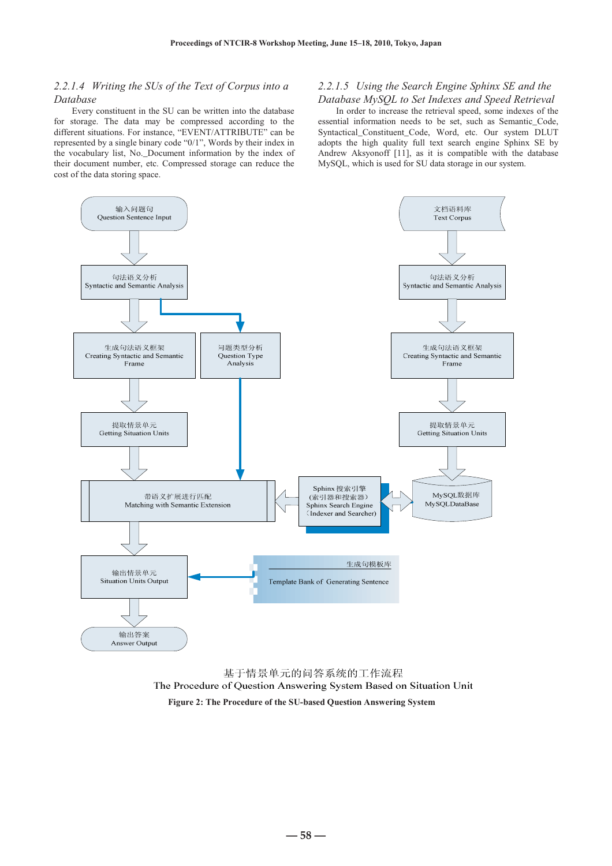# *2.2.1.4 Writing the SUs of the Text of Corpus into a Database*

Every constituent in the SU can be written into the database for storage. The data may be compressed according to the different situations. For instance, "EVENT/ATTRIBUTE" can be represented by a single binary code "0/1", Words by their index in the vocabulary list, No.\_Document information by the index of their document number, etc. Compressed storage can reduce the cost of the data storing space.

## *2.2.1.5 Using the Search Engine Sphinx SE and the Database MySQL to Set Indexes and Speed Retrieval*

In order to increase the retrieval speed, some indexes of the essential information needs to be set, such as Semantic Code, Syntactical\_Constituent\_Code, Word, etc. Our system DLUT adopts the high quality full text search engine Sphinx SE by Andrew Aksyonoff [11], as it is compatible with the database MySQL, which is used for SU data storage in our system.



基于情景单元的问答系统的工作流程 The Procedure of Question Answering System Based on Situation Unit  **Figure 2: The Procedure of the SU-based Question Answering System** 

**― 58 ―**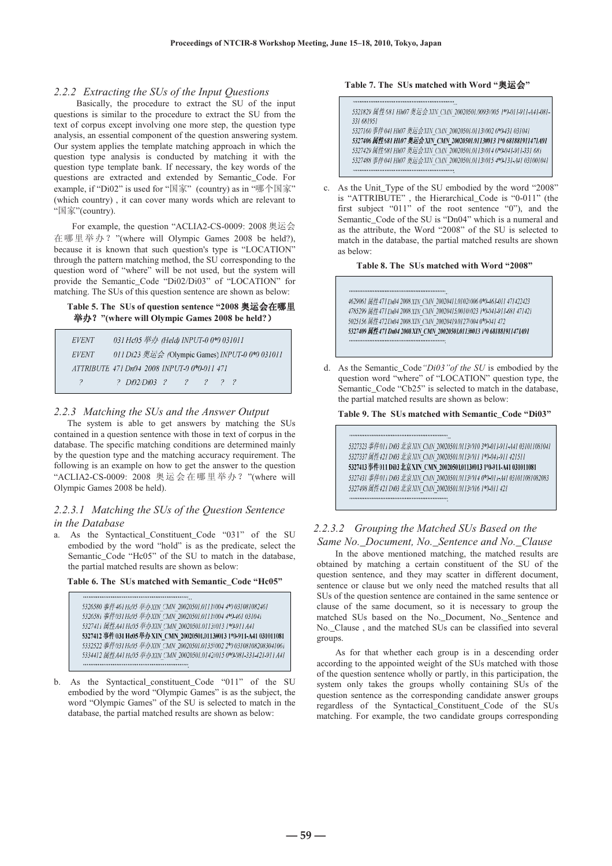#### *2.2.2 Extracting the SUs of the Input Questions*

Basically, the procedure to extract the SU of the input questions is similar to the procedure to extract the SU from the text of corpus except involving one more step, the question type analysis, an essential component of the question answering system. Our system applies the template matching approach in which the question type analysis is conducted by matching it with the question type template bank. If necessary, the key words of the questions are extracted and extended by Semantic\_Code. For example, if "Di02" is used for "国家" (country) as in "哪个国家" (which country) , it can cover many words which are relevant to "国家"(country).

For example, the question "ACLIA2-CS-0009: 2008 奥运会 在哪里举办? "(where will Olympic Games 2008 be held?), because it is known that such question's type is "LOCATION" through the pattern matching method, the SU corresponding to the question word of "where" will be not used, but the system will provide the Semantic\_Code "Di02/Di03" of "LOCATION" for matching. The SUs of this question sentence are shown as below:

#### Table 5. The SUs of question sentence "2008 奥运会在哪里 举办? "(where will Olympic Games 2008 be held?)

| EVENT        | 031 Hc05 举办 (Held) INPUT-0 0*0 031011           |
|--------------|-------------------------------------------------|
| <i>EVENT</i> | 011 Di23 奥运会 (Olympic Games) INPUT-0 0*0 031011 |
|              | ATTRIBUTE 471 Dn04 2008 INPUT-0 0*0-011 471     |
| Ÿ.           | 2 Di02/Di03 ? ? ? ? ? ?                         |

#### *2.2.3 Matching the SUs and the Answer Output*

The system is able to get answers by matching the SUs contained in a question sentence with those in text of corpus in the database. The specific matching conditions are determined mainly by the question type and the matching accuracy requirement. The following is an example on how to get the answer to the question "ACLIA2-CS-0009: 2008 奥运会在哪里举办? "(where will Olympic Games 2008 be held).

## *2.2.3.1 Matching the SUs of the Question Sentence in the Database*

a. As the Syntactical\_Constituent\_Code "031" of the SU embodied by the word "hold" is as the predicate, select the Semantic\_Code "Hc05" of the SU to match in the database, the partial matched results are shown as below:

#### **Table 6. The SUs matched with Semantic\_Code "Hc05"**

5326580 事件461 Hc05 举办 XIN CMN 20020501.011 H004 4\*0 031081082461 5326581 事件031 Ho05 举办 XIN\_CMN\_20020501.0111#004 4\*0-461 031041 5327411 属性A41 Hc05 举办XIN CMN 20020501.0113#013 1\*0-911 A41 5327412 事件 031 Hc05 举办 XIN CMN 200205010113#013 1\*0-911-A41 031011081 5332522 事件031 Hc05 举办XIN CMN 20020501.0135#002 2\*0 031081082083041061 5334412 属性A41 Hc05 举办XIN CMN 20020501.0142#015 0\*0-081-331-421-911 A41 

b. As the Syntactical constituent Code "011" of the SU embodied by the word "Olympic Games" is as the subject, the word "Olympic Games" of the SU is selected to match in the database, the partial matched results are shown as below:

## Table 7. The SUs matched with Word "奥运会"

5321829 属性681 Hh07 奧运会 XIN CMN 20020501.0093#005 1\*0-011-911-A41-081-331 681951 5327160 事件041 Hh07 奥运会XIN CMN 20020501.0113#002 0\*0-431 031041 5327406 属性681 Hh07 奥运会XIN CMN 20020501.0113#013 1\*0 681881911471A01 5327429 属性681 Hh07 奥运会XIN CMN 20020501.0113#014 0\*0-041-911-331 681 5327488 事件041 Hh07 奥运会XIN\_CMN\_20020501.0113#015 4\*0-131-A41 031001041 

c. As the Unit\_Type of the SU embodied by the word "2008" is "ATTRIBUTE" , the Hierarchical\_Code is "0-011" (the first subject "011" of the root sentence "0"), and the Semantic\_Code of the SU is "Dn04" which is a numeral and as the attribute, the Word "2008" of the SU is selected to match in the database, the partial matched results are shown as below:

#### **Table 8. The SUs matched with Word "2008"**

4629061 属性471 Dn04 2008 XIN CMN 20020411.0102#006 0\*0-461-011 471422423 4785299 属性471 Dn04 2008 XIN CMN 20020415.0010#023 1\*0-041-911-681 471421 5025156 属性472 Dn04 2008 XIN CMN 20020419.0127#004 0\*0-041 472 5327409 属性471 Dn04 2008 XIN\_CMN\_20020501.0113#013 1\*0 681881911471A01

d. As the Semantic\_Code*"Di03"of the SU* is embodied by the question word "where" of "LOCATION" question type, the Semantic\_Code "Cb25" is selected to match in the database, the partial matched results are shown as below:

#### **Table 9. The SUs matched with Semantic\_Code "Di03"**

5327323 事件011 Di03 北京XIN CMN 20020501.0113#010 3\*0-011-911-A41 031011081041 5327337 属性421 Di03 北京 XIN CMN 20020501.0113#011 1\*0-041-911 421511 5327413事件011 Di03 北京XIN CMN 20020501.0113#013 1\*0-911-A41 031011081 5327431 事件011 Di03 北京XIN CMN 20020501.0113#014 0\*0-011-A41 031011081082083 5327498 属性421 Di03 北京XIN CMN 20020501.0113#016 1\*0-011 421 

# *2.2.3.2 Grouping the Matched SUs Based on the Same No.\_Document, No.\_Sentence and No.\_Clause*

In the above mentioned matching, the matched results are obtained by matching a certain constituent of the SU of the question sentence, and they may scatter in different document, sentence or clause but we only need the matched results that all SUs of the question sentence are contained in the same sentence or clause of the same document, so it is necessary to group the matched SUs based on the No.\_Document, No.\_Sentence and No.\_Clause , and the matched SUs can be classified into several groups.

As for that whether each group is in a descending order according to the appointed weight of the SUs matched with those of the question sentence wholly or partly, in this participation, the system only takes the groups wholly containing SUs of the question sentence as the corresponding candidate answer groups regardless of the Syntactical\_Constituent\_Code of the SUs matching. For example, the two candidate groups corresponding

**― 59 ―**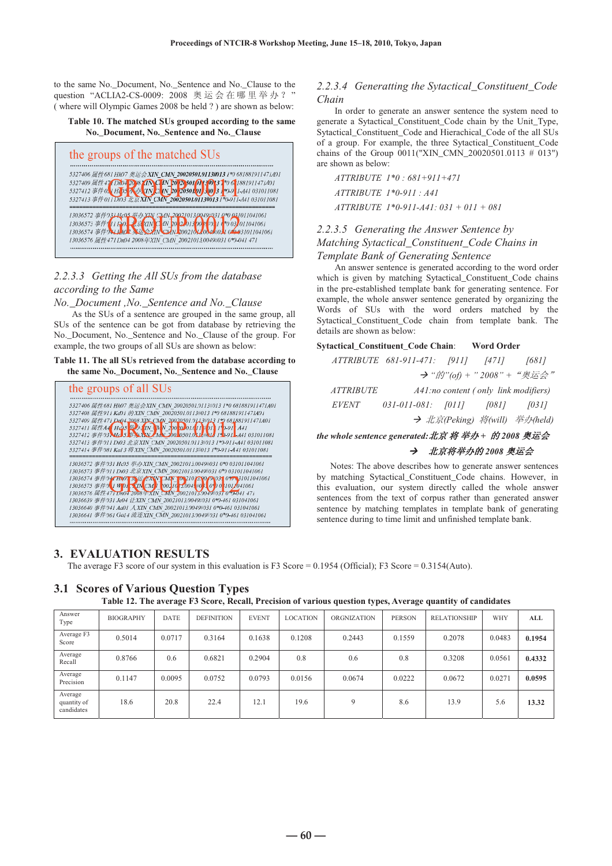to the same No.\_Document, No.\_Sentence and No.\_Clause to the question "ACLIA2-CS-0009: 2008 奥运会在哪里举办?" ( where will Olympic Games 2008 be held ? ) are shown as below:





# *2.2.3.3 Getting the All SUs from the database according to the Same*

*No.\_Document ,No.\_Sentence and No.\_Clause* 

As the SUs of a sentence are grouped in the same group, all SUs of the sentence can be got from database by retrieving the No.\_Document, No.\_Sentence and No.\_Clause of the group. For example, the two groups of all SUs are shown as below:

#### **Table 11. The all SUs retrieved from the database according to the same No.\_Document, No.\_Sentence and No.\_Clause**



# **3. EVALUATION RESULTS**

**3.1 Scores of Various Question Types** 

The average F3 score of our system in this evaluation is F3 Score = 0.1954 (Official); F3 Score = 0.3154(Auto).

|                                      | Table 12. The average F3 Score, Recall, Precision of various question types, Average quantity of candidates |             |                   |              |                 |                    |               |                     |        |        |
|--------------------------------------|-------------------------------------------------------------------------------------------------------------|-------------|-------------------|--------------|-----------------|--------------------|---------------|---------------------|--------|--------|
| Answer<br>Type                       | <b>BIOGRAPHY</b>                                                                                            | <b>DATE</b> | <b>DEFINITION</b> | <b>EVENT</b> | <b>LOCATION</b> | <b>ORGNIZATION</b> | <b>PERSON</b> | <b>RELATIONSHIP</b> | WHY    | ALL    |
| Average F3<br>Score                  | 0.5014                                                                                                      | 0.0717      | 0.3164            | 0.1638       | 0.1208          | 0.2443             | 0.1559        | 0.2078              | 0.0483 | 0.1954 |
| Average<br>Recall                    | 0.8766                                                                                                      | 0.6         | 0.6821            | 0.2904       | 0.8             | 0.6                | 0.8           | 0.3208              | 0.0561 | 0.4332 |
| Average<br>Precision                 | 0.1147                                                                                                      | 0.0095      | 0.0752            | 0.0793       | 0.0156          | 0.0674             | 0.0222        | 0.0672              | 0.0271 | 0.0595 |
| Average<br>quantity of<br>candidates | 18.6                                                                                                        | 20.8        | 22.4              | 12.1         | 19.6            | 9                  | 8.6           | 13.9                | 5.6    | 13.32  |

## *2.2.3.4 Generatting the Sytactical\_Constituent\_Code Chain*

In order to generate an answer sentence the system need to generate a Sytactical\_Constituent\_Code chain by the Unit\_Type, Sytactical\_Constituent\_Code and Hierachical\_Code of the all SUs of a group. For example, the three Sytactical\_Constituent\_Code chains of the Group  $0011("XIN\_CNN\_20020501.0113 # 013")$ are shown as below:

*ATTRIBUTE 1\*0 : 681+911+471 ATTRIBUTE 1\*0-911 : A41 ATTRIBUTE 1\*0-911-A41: 031 + 011 + 081* 

# *2.2.3.5 Generating the Answer Sentence by Matching Sytactical\_Constituent\_Code Chains in Template Bank of Generating Sentence*

An answer sentence is generated according to the word order which is given by matching Sytactical\_Constituent\_Code chains in the pre-established template bank for generating sentence. For example, the whole answer sentence generated by organizing the Words of SUs with the word orders matched by the Sytactical\_Constituent\_Code chain from template bank. The details are shown as below:

#### **Sytactical\_Constituent\_Code Chain**: **Word Order**

|                  | ATTRIBUTE 681-911-471: [911] [471]  |  | [681]                                     |
|------------------|-------------------------------------|--|-------------------------------------------|
|                  |                                     |  | → " <i>的"(of)</i> + " 2008" + "奥运会"       |
| <i>ATTRIBUTE</i> |                                     |  | A41:no content (only link modifiers)      |
| <i>EVENT</i>     | $031 - 011 - 081$ ; $[011]$ $[081]$ |  | [031]                                     |
|                  |                                     |  | $\rightarrow$ 北京(Peking) 将(will) 举办(held) |

the whole sentence generated:北京将举办+ 的2008 奥运会

## → 北京将举办的 2008 奥运会

Notes: The above describes how to generate answer sentences by matching Sytactical\_Constituent\_Code chains. However, in this evaluation, our system directly called the whole answer sentences from the text of corpus rather than generated answer sentence by matching templates in template bank of generating sentence during to time limit and unfinished template bank.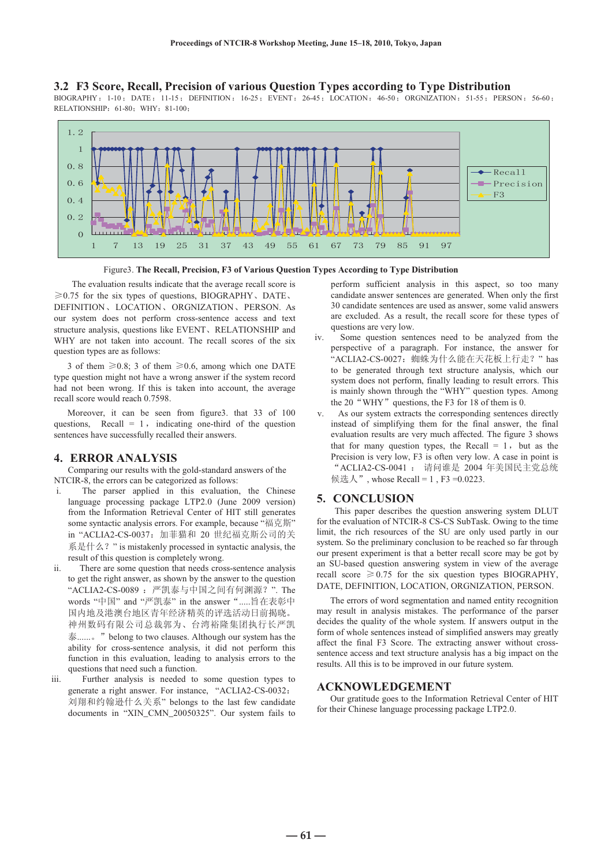#### **3.2 F3 Score, Recall, Precision of various Question Types according to Type Distribution**

BIOGRAPHY: 1-10; DATE: 11-15; DEFINITION: 16-25; EVENT: 26-45; LOCATION: 46-50; ORGNIZATION: 51-55; PERSON: 56-60; RELATIONSHIP: 61-80; WHY: 81-100;



Figure3. **The Recall, Precision, F3 of Various Question Types According to Type Distribution** 

The evaluation results indicate that the average recall score is  $\geq 0.75$  for the six types of questions, BIOGRAPHY, DATE, DEFINITION、LOCATION、ORGNIZATION、PERSON. As our system does not perform cross-sentence access and text structure analysis, questions like EVENT, RELATIONSHIP and WHY are not taken into account. The recall scores of the six question types are as follows:

3 of them  $\geq 0.8$ ; 3 of them  $\geq 0.6$ , among which one DATE type question might not have a wrong answer if the system record had not been wrong. If this is taken into account, the average recall score would reach 0.7598.

Moreover, it can be seen from figure3. that 33 of 100 questions, Recall  $= 1$ , indicating one-third of the question sentences have successfully recalled their answers.

## **4. ERROR ANALYSIS**

 Comparing our results with the gold-standard answers of the NTCIR-8, the errors can be categorized as follows:

- i. The parser applied in this evaluation, the Chinese language processing package LTP2.0 (June 2009 version) from the Information Retrieval Center of HIT still generates some syntactic analysis errors. For example, because "福克斯" in "ACLIA2-CS-0037: 加菲猫和 20 世纪福克斯公司的关 系是什么? " is mistakenly processed in syntactic analysis, the result of this question is completely wrong.
- ii. There are some question that needs cross-sentence analysis to get the right answer, as shown by the answer to the question "ACLIA2-CS-0089 : 严凯泰与中国之间有何渊源? ". The words "中国" and "严凯泰" in the answer ".....旨在表彰中 国内地及港澳台地区青年经济精英的评选活动日前揭晓。 神州数码有限公司总裁郭为、台湾裕隆集团执行长严凯 泰........。" belong to two clauses. Although our system has the ability for cross-sentence analysis, it did not perform this function in this evaluation, leading to analysis errors to the questions that need such a function.
- iii. Further analysis is needed to some question types to generate a right answer. For instance, "ACLIA2-CS-0032: 刘翔和约翰逊什么关系" belongs to the last few candidate documents in "XIN\_CMN\_20050325". Our system fails to

perform sufficient analysis in this aspect, so too many candidate answer sentences are generated. When only the first 30 candidate sentences are used as answer, some valid answers are excluded. As a result, the recall score for these types of questions are very low.

- iv. Some question sentences need to be analyzed from the perspective of a paragraph. For instance, the answer for 'ACLIA2-CS-0027: 蜘蛛为什么能在天花板上行走? " has to be generated through text structure analysis, which our system does not perform, finally leading to result errors. This is mainly shown through the "WHY" question types. Among the 20 "WHY" questions, the F3 for 18 of them is 0.
- v. As our system extracts the corresponding sentences directly instead of simplifying them for the final answer, the final evaluation results are very much affected. The figure 3 shows that for many question types, the Recall  $= 1$ , but as the Precision is very low, F3 is often very low. A case in point is "ACLIA2-CS-0041 : 请问谁是 2004 年美国民主党总统 候选人", whose Recall = 1, F3 =  $0.0223$ .

## **5. CONCLUSION**

This paper describes the question answering system DLUT for the evaluation of NTCIR-8 CS-CS SubTask. Owing to the time limit, the rich resources of the SU are only used partly in our system. So the preliminary conclusion to be reached so far through our present experiment is that a better recall score may be got by an SU-based question answering system in view of the average recall score  $\geq 0.75$  for the six question types BIOGRAPHY. DATE, DEFINITION, LOCATION, ORGNIZATION, PERSON.

The errors of word segmentation and named entity recognition may result in analysis mistakes. The performance of the parser decides the quality of the whole system. If answers output in the form of whole sentences instead of simplified answers may greatly affect the final F3 Score. The extracting answer without crosssentence access and text structure analysis has a big impact on the results. All this is to be improved in our future system.

#### **ACKNOWLEDGEMENT**

Our gratitude goes to the Information Retrieval Center of HIT for their Chinese language processing package LTP2.0.

 $-61 -$